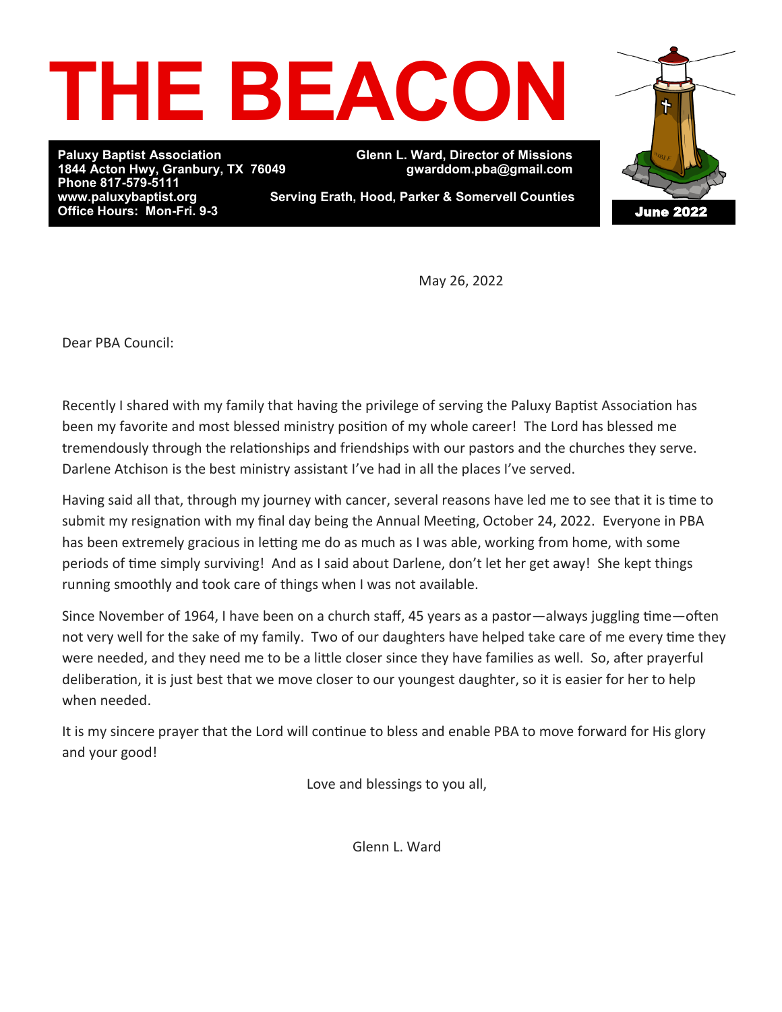# **THE BEACON**

**Paluxy Baptist Association Glenn L. Ward, Director of Missions Phone 817-579-5111 Office Hours: Mon-Fri. 9-3** 

**1844 Acton Hwy, Granbury, TX 76049 gwarddom.pba@gmail.com** 

**Serving Erath, Hood, Parker & Somervell Counties** 



May 26, 2022

Dear PBA Council:

Recently I shared with my family that having the privilege of serving the Paluxy Baptist Association has been my favorite and most blessed ministry position of my whole career! The Lord has blessed me tremendously through the relationships and friendships with our pastors and the churches they serve. Darlene Atchison is the best ministry assistant I've had in all the places I've served.

Having said all that, through my journey with cancer, several reasons have led me to see that it is time to submit my resignation with my final day being the Annual Meeting, October 24, 2022. Everyone in PBA has been extremely gracious in letting me do as much as I was able, working from home, with some periods of time simply surviving! And as I said about Darlene, don't let her get away! She kept things running smoothly and took care of things when I was not available.

Since November of 1964, I have been on a church staff, 45 years as a pastor—always juggling time—often not very well for the sake of my family. Two of our daughters have helped take care of me every time they were needed, and they need me to be a little closer since they have families as well. So, after prayerful deliberation, it is just best that we move closer to our youngest daughter, so it is easier for her to help when needed.

It is my sincere prayer that the Lord will continue to bless and enable PBA to move forward for His glory and your good!

Love and blessings to you all,

Glenn L. Ward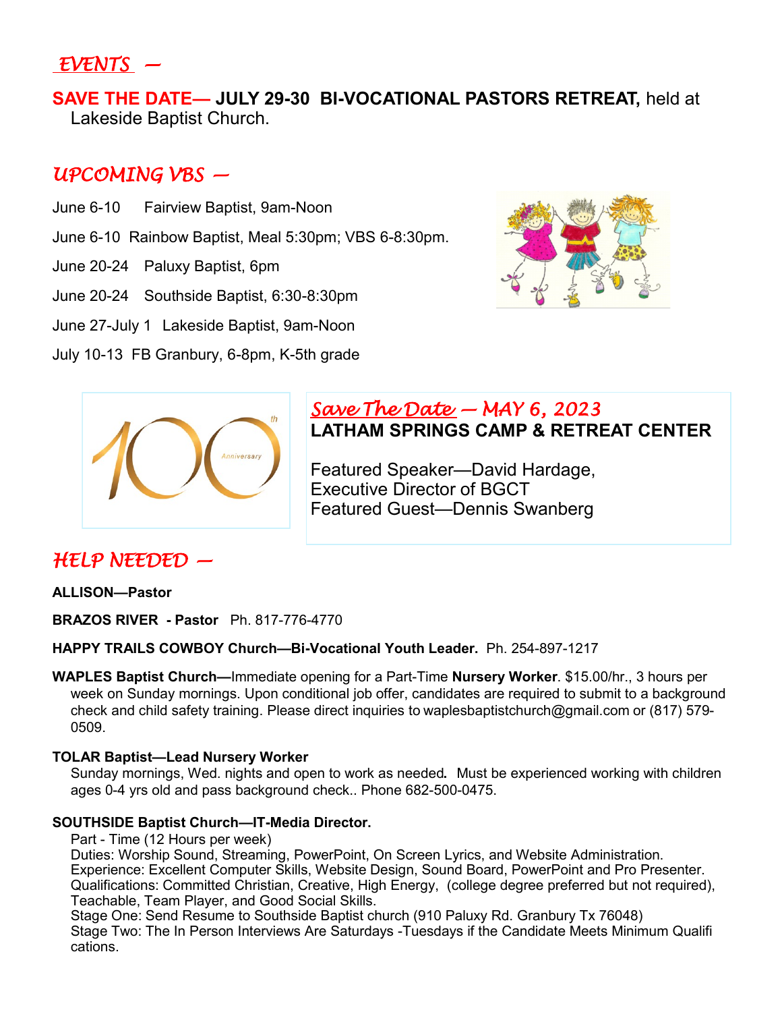# *EVENTS —*

**SAVE THE DATE— JULY 29-30 BI-VOCATIONAL PASTORS RETREAT,** held at Lakeside Baptist Church.

## *UPCOMING VBS —*

- June 6-10 Fairview Baptist, 9am-Noon
- June 6-10 Rainbow Baptist, Meal 5:30pm; VBS 6-8:30pm.
- June 20-24 Paluxy Baptist, 6pm
- June 20-24 Southside Baptist, 6:30-8:30pm
- June 27-July 1 Lakeside Baptist, 9am-Noon
- July 10-13 FB Granbury, 6-8pm, K-5th grade





### *Save The Date — MAY 6, 2023*  **LATHAM SPRINGS CAMP & RETREAT CENTER**

Featured Speaker—David Hardage, Executive Director of BGCT Featured Guest—Dennis Swanberg

# *HELP NEEDED —*

**ALLISON—Pastor** 

**BRAZOS RIVER - Pastor** Ph. 817-776-4770

**HAPPY TRAILS COWBOY Church—Bi-Vocational Youth Leader.** Ph. 254-897-1217

**WAPLES Baptist Church—**Immediate opening for a Part-Time **Nursery Worker**. \$15.00/hr., 3 hours per week on Sunday mornings. Upon conditional job offer, candidates are required to submit to a background check and child safety training. Please direct inquiries to waplesbaptistchurch@gmail.com or (817) 579- 0509.

#### **TOLAR Baptist—Lead Nursery Worker**

Sunday mornings, Wed. nights and open to work as needed**.** Must be experienced working with children ages 0-4 yrs old and pass background check.. Phone 682-500-0475.

#### **SOUTHSIDE Baptist Church—IT-Media Director.**

Part - Time (12 Hours per week)

Duties: Worship Sound, Streaming, PowerPoint, On Screen Lyrics, and Website Administration. Experience: Excellent Computer Skills, Website Design, Sound Board, PowerPoint and Pro Presenter. Qualifications: Committed Christian, Creative, High Energy, (college degree preferred but not required), Teachable, Team Player, and Good Social Skills.

Stage One: Send Resume to Southside Baptist church (910 Paluxy Rd. Granbury Tx 76048) Stage Two: The In Person Interviews Are Saturdays -Tuesdays if the Candidate Meets Minimum Qualifi cations.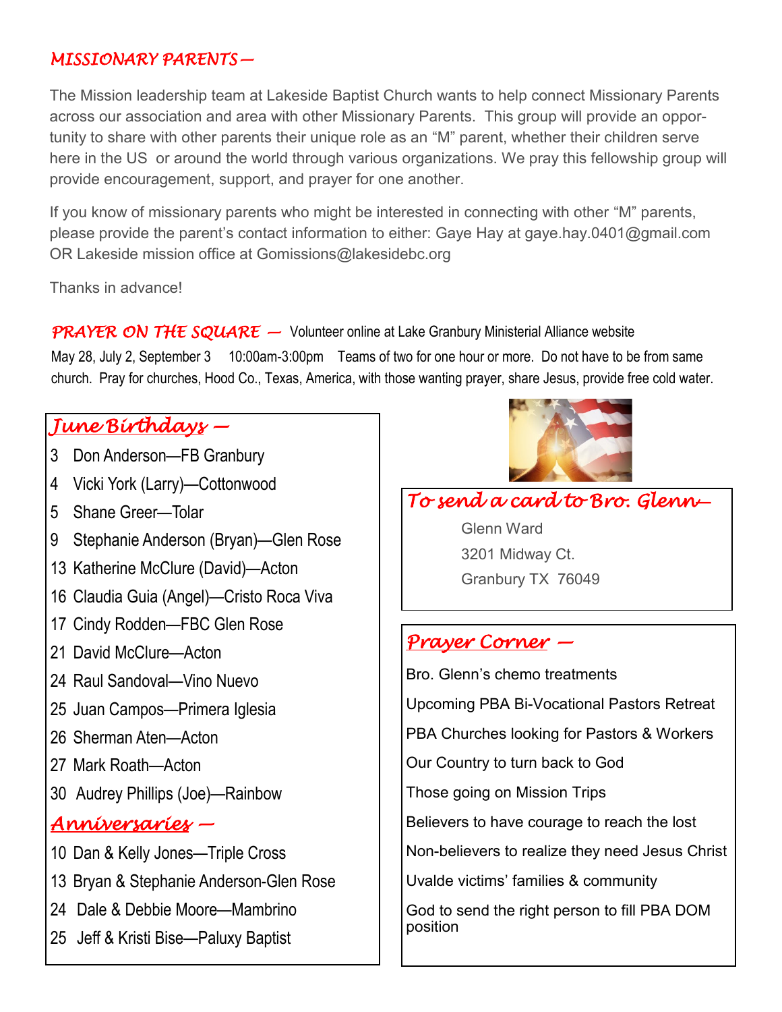## *MISSIONARY PARENTS—*

The Mission leadership team at Lakeside Baptist Church wants to help connect Missionary Parents across our association and area with other Missionary Parents. This group will provide an opportunity to share with other parents their unique role as an "M" parent, whether their children serve here in the US or around the world through various organizations. We pray this fellowship group will provide encouragement, support, and prayer for one another.

If you know of missionary parents who might be interested in connecting with other "M" parents, please provide the parent's contact information to either: Gaye Hay at gaye.hay.0401@gmail.com OR Lakeside mission office at Gomissions@lakesidebc.org

Thanks in advance!

*PRAYER ON THE SQUARE —* Volunteer online at Lake Granbury Ministerial Alliance website

May 28, July 2, September 3 10:00am-3:00pm Teams of two for one hour or more. Do not have to be from same church. Pray for churches, Hood Co., Texas, America, with those wanting prayer, share Jesus, provide free cold water.

# *June Birthdays —*

- 3 Don Anderson—FB Granbury
- 4 Vicki York (Larry)—Cottonwood
- 5 Shane Greer—Tolar
- 9 Stephanie Anderson (Bryan)—Glen Rose
- 13 Katherine McClure (David)—Acton
- 16 Claudia Guia (Angel)—Cristo Roca Viva
- 17 Cindy Rodden—FBC Glen Rose
- 21 David McClure—Acton
- 24 Raul Sandoval—Vino Nuevo
- 25 Juan Campos—Primera Iglesia
- 26 Sherman Aten—Acton
- 27 Mark Roath—Acton
- 30 Audrey Phillips (Joe)—Rainbow

# *Anniversaries —*

- 10 Dan & Kelly Jones—Triple Cross
- 13 Bryan & Stephanie Anderson-Glen Rose
- 24 Dale & Debbie Moore—Mambrino
- 25 Jeff & Kristi Bise—Paluxy Baptist



# *To send a card to Bro. Glenn***—**

Glenn Ward 3201 Midway Ct. Granbury TX 76049

## *Prayer Corner —*

Bro. Glenn's chemo treatments Upcoming PBA Bi-Vocational Pastors Retreat PBA Churches looking for Pastors & Workers Our Country to turn back to God Those going on Mission Trips Believers to have courage to reach the lost Non-believers to realize they need Jesus Christ Uvalde victims' families & community God to send the right person to fill PBA DOM position